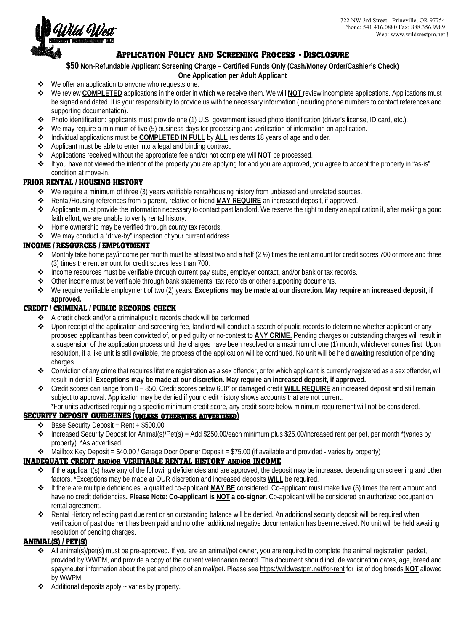

# *Application Policy and Screening Process* **-** *Disclosure*

**\$50 Non-Refundable Applicant Screening Charge – Certified Funds Only (Cash/Money Order/Cashier's Check)**

#### **One Application per Adult Applicant**

- ❖ We offer an application to anyone who requests one.
- We review **COMPLETED** applications in the order in which we receive them. We will **NOT** review incomplete applications. Applications must be signed and dated. It is your responsibility to provide us with the necessary information (Including phone numbers to contact referenc es and supporting documentation).
- Photo identification: applicants must provide one (1) U.S. government issued photo identification (driver's license, ID card, etc.).
- We may require a minimum of five (5) business days for processing and verification of information on application.
- Individual applications must be **COMPLETED IN FULL** by **ALL** residents 18 years of age and older.
- Applicant must be able to enter into a legal and binding contract.
- Applications received without the appropriate fee and/or not complete will **NOT** be processed.
- If you have not viewed the interior of the property you are applying for and you are approved, you agree to accept the property in "as-is" condition at move-in.

## *PRIOR RENTAL* **/** *HOUSING HISTORY*

- We require a minimum of three (3) years verifiable rental/housing history from unbiased and unrelated sources.
- Rental/Housing references from a parent, relative or friend **MAY REQUIRE** an increased deposit, if approved.
- Applicants must provide the information necessary to contact past landlord. We reserve the right to deny an application if, after making a good faith effort, we are unable to verify rental history.
- ❖ Home ownership may be verified through county tax records.
- We may conduct a "drive-by" inspection of your current address.

## *INCOME* **/** *RESOURCES* **/** *EMPLOYMENT*

- Monthly take home pay/income per month must be at least two and a half  $(2 \frac{1}{2})$  times the rent amount for credit scores 700 or more and three (3) times the rent amount for credit scores less than 700.
- Income resources must be verifiable through current pay stubs, employer contact, and/or bank or tax records.
- Other income must be verifiable through bank statements, tax records or other supporting documents.
- We require verifiable employment of two (2) years. **Exceptions may be made at our discretion. May require an increased deposit, if approved.**

## *CREDIT* **/** *CRIMINAL* **/** *PUBLIC RECORDS CHECK*

- A credit check and/or a criminal/public records check will be performed.
- Upon receipt of the application and screening fee, landlord will conduct a search of public records to determine whether applicant or any proposed applicant has been convicted of, or pled guilty or no-contest to **ANY CRIME.** Pending charges or outstanding charges will result in a suspension of the application process until the charges have been resolved or a maximum of one (1) month, whichever comes first. Upon resolution, if a like unit is still available, the process of the application will be continued. No unit will be held awaiting resolution of pending charges.
- $\bullet$  Conviction of any crime that requires lifetime registration as a sex offender, or for which applicant is currently registered as a sex offender, will result in denial. **Exceptions may be made at our discretion. May require an increased deposit, if approved.**
- Credit scores can range from 0 850. Credit scores below 600\* or damaged credit **WILL REQUIRE** an increased deposit and still remain subject to approval. Application may be denied if your credit history shows accounts that are not current.
- \*For units advertised requiring a specific minimum credit score, any credit score below minimum requirement will not be considered. *SECURITY DEPOSIT GUIDELINES* **(***unless otherwise advertised***)**
	- $\div$  Base Security Deposit = Rent + \$500.00
	- $\bullet$  Increased Security Deposit for Animal(s)/Pet(s) = Add \$250.00/each minimum plus \$25.00/increased rent per pet, per month \*(varies by property). \*As advertised
	- $\leftrightarrow$  Mailbox Key Deposit = \$40.00 / Garage Door Opener Deposit = \$75.00 (if available and provided varies by property)

## *INADEQUATE CREDIT and***/***or VERIFIABLE RENTAL HISTORY and***/***or INCOME*

- $\cdot \cdot$  If the applicant(s) have any of the following deficiencies and are approved, the deposit may be increased depending on screening and other factors. \*Exceptions may be made at OUR discretion and increased deposits **WILL** be required.
- If there are multiple deficiencies, a qualified co-applicant **MAY BE** considered. Co-applicant must make five (5) times the rent amount and have no credit deficiencies**. Please Note: Co-applicant is NOT a co-signer.** Co-applicant will be considered an authorized occupant on rental agreement.
- Rental History reflecting past due rent or an outstanding balance will be denied. An additional security deposit will be required when verification of past due rent has been paid and no other additional negative documentation has been received. No unit will be held awaiting resolution of pending charges.

## *ANIMAL***(***S***) /** *PET***(***S***)**

- All animal(s)/pet(s) must be pre-approved. If you are an animal/pet owner, you are required to complete the animal registration packet, provided by WWPM, and provide a copy of the current veterinarian record. This document should include vaccination dates, age, breed a nd spay/neuter information about the pet and photo of animal/pet. Please see https://wildwestpm.net/for-rent for list of dog breeds **NOT** allowed by WWPM.
- Additional deposits apply ~ varies by property.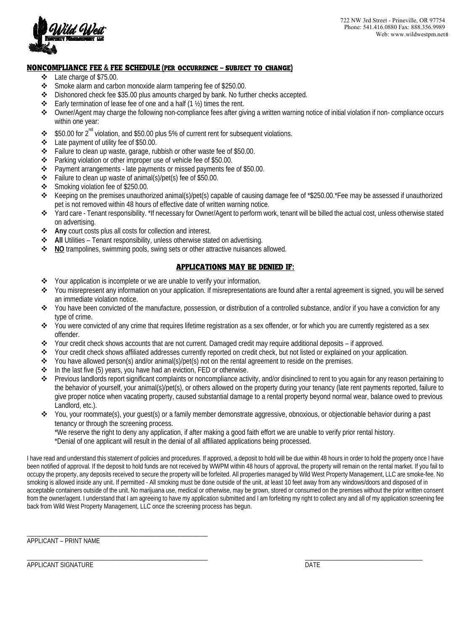

#### *NONCOMPLIANCE FEE* **&** *FEE SCHEDULE* **(***per occurrence* **–** *subject to change***)**

- Late charge of \$75.00.
- Smoke alarm and carbon monoxide alarm tampering fee of \$250.00.
- Dishonored check fee \$35.00 plus amounts charged by bank. No further checks accepted.
- Early termination of lease fee of one and a half  $(1 \frac{1}{2})$  times the rent.
- Owner/Agent may charge the following non-compliance fees after giving a written warning notice of initial violation if non- compliance occurs within one year:
- $\cdot$  \$50.00 for 2<sup>nd</sup> violation, and \$50.00 plus 5% of current rent for subsequent violations.
- $\div$  Late payment of utility fee of \$50.00.
- Failure to clean up waste, garage, rubbish or other waste fee of \$50.00.
- Parking violation or other improper use of vehicle fee of \$50.00.
- \* Payment arrangements late payments or missed payments fee of \$50.00.
- Failure to clean up waste of animal(s)/pet(s) fee of \$50.00.
- Smoking violation fee of \$250.00.
- Keeping on the premises unauthorized animal(s)/pet(s) capable of causing damage fee of \*\$250.00.\*Fee may be assessed if unauthorized pet is not removed within 48 hours of effective date of written warning notice.
- Yard care Tenant responsibility. \*If necessary for Owner/Agent to perform work, tenant will be billed the actual cost, unless otherwise sta ted on advertising.
- **Any** court costs plus all costs for collection and interest.
- **All** Utilities Tenant responsibility, unless otherwise stated on advertising.
- **NO** trampolines, swimming pools, swing sets or other attractive nuisances allowed.

#### *APPLICATIONS MAY BE DENIED IF***:**

- Your application is incomplete or we are unable to verify your information.
- You misrepresent any information on your application. If misrepresentations are found after a rental agreement is signed, you will be served an immediate violation notice.
- You have been convicted of the manufacture, possession, or distribution of a controlled substance, and/or if you have a conviction for any type of crime.
- You were convicted of any crime that requires lifetime registration as a sex offender, or for which you are currently registered as a sex offender.
- Your credit check shows accounts that are not current. Damaged credit may require additional deposits if approved.
- Your credit check shows affiliated addresses currently reported on credit check, but not listed or explained on your application.
- You have allowed person(s) and/or animal(s)/pet(s) not on the rental agreement to reside on the premises.
- $\triangle$  In the last five (5) years, you have had an eviction, FED or otherwise.
- Previous landlords report significant complaints or noncompliance activity, and/or disinclined to rent to you again for any reason pertaining to the behavior of yourself, your animal(s)/pet(s), or others allowed on the property during your tenancy (late rent payments reported, failure to give proper notice when vacating property, caused substantial damage to a rental property beyond normal wear, balance owed to previous Landlord, etc.).
- You, your roommate(s), your guest(s) or a family member demonstrate aggressive, obnoxious, or objectionable behavior during a past tenancy or through the screening process.

\*We reserve the right to deny any application, if after making a good faith effort we are unable to verify prior rental history.

\*Denial of one applicant will result in the denial of all affiliated applications being processed.

I have read and understand this statement of policies and procedures. If approved, a deposit to hold will be due within 48 hours in order to hold the property once I have been notified of approval. If the deposit to hold funds are not received by WWPM within 48 hours of approval, the property will remain on the rental market. If you fail to occupy the property, any deposits received to secure the property will be forfeited. All properties managed by Wild West Property Management, LLC are smoke-fee. N o smoking is allowed inside any unit. If permitted - All smoking must be done outside of the unit, at least 10 feet away from any windows/doors and disposed of in acceptable containers outside of the unit. No marijuana use, medical or otherwise, may be grown, stored or consumed on the premises without the prior written consent from the owner/agent. I understand that I am agreeing to have my application submitted and I am forfeiting my right to collect any and all of my application screening fee back from Wild West Property Management, LLC once the screening process has begun.

APPLICANT – PRINT NAME

\_\_\_\_\_\_\_\_\_\_\_\_\_\_\_\_\_\_\_\_\_\_\_\_\_\_\_\_\_\_\_\_\_\_\_\_\_\_\_\_\_\_\_\_\_\_\_\_\_\_\_\_\_\_\_\_\_

APPLICANT SIGNATURE DATE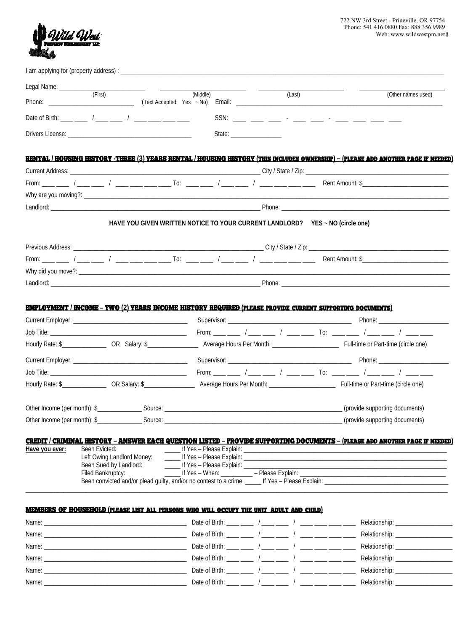

| Legal Name: ___________ | (First)                                                                                                                             | $\begin{array}{cccccccccc} \hline \end{array} \hspace{2em} \begin{array}{cccccccccc} \hline \end{array} \hspace{2em} \begin{array}{cccccccccc} \hline \end{array} \hspace{2em} \begin{array}{cccccccccc} \hline \end{array} \hspace{2em} \begin{array}{cccccccccc} \hline \end{array} \hspace{2em} \end{array}$ | (Middle) |                                                  | (Last) |  | (Other names used)                                               |
|-------------------------|-------------------------------------------------------------------------------------------------------------------------------------|-----------------------------------------------------------------------------------------------------------------------------------------------------------------------------------------------------------------------------------------------------------------------------------------------------------------|----------|--------------------------------------------------|--------|--|------------------------------------------------------------------|
|                         |                                                                                                                                     |                                                                                                                                                                                                                                                                                                                 |          |                                                  |        |  |                                                                  |
|                         |                                                                                                                                     |                                                                                                                                                                                                                                                                                                                 |          |                                                  |        |  |                                                                  |
|                         |                                                                                                                                     |                                                                                                                                                                                                                                                                                                                 |          |                                                  |        |  |                                                                  |
|                         | RENTAL / HOUSING HISTORY -THREE (3) YEARS RENTAL / HOUSING HISTORY (THIS INCLUDES OWNERSHIP) – (PLEASE ADD ANOTHER PAGE IF NEEDED)  |                                                                                                                                                                                                                                                                                                                 |          |                                                  |        |  |                                                                  |
|                         |                                                                                                                                     |                                                                                                                                                                                                                                                                                                                 |          |                                                  |        |  |                                                                  |
|                         |                                                                                                                                     |                                                                                                                                                                                                                                                                                                                 |          |                                                  |        |  |                                                                  |
|                         |                                                                                                                                     |                                                                                                                                                                                                                                                                                                                 |          |                                                  |        |  |                                                                  |
|                         |                                                                                                                                     |                                                                                                                                                                                                                                                                                                                 |          |                                                  |        |  |                                                                  |
|                         |                                                                                                                                     | HAVE YOU GIVEN WRITTEN NOTICE TO YOUR CURRENT LANDLORD? YES ~ NO (circle one)                                                                                                                                                                                                                                   |          |                                                  |        |  |                                                                  |
|                         |                                                                                                                                     |                                                                                                                                                                                                                                                                                                                 |          |                                                  |        |  |                                                                  |
|                         |                                                                                                                                     |                                                                                                                                                                                                                                                                                                                 |          |                                                  |        |  |                                                                  |
|                         |                                                                                                                                     |                                                                                                                                                                                                                                                                                                                 |          |                                                  |        |  |                                                                  |
|                         |                                                                                                                                     |                                                                                                                                                                                                                                                                                                                 |          |                                                  |        |  |                                                                  |
|                         |                                                                                                                                     |                                                                                                                                                                                                                                                                                                                 |          |                                                  |        |  |                                                                  |
|                         | <b>EMPLOYMENT / INCOME - TWO (2) YEARS INCOME HISTORY REQUIRED (PLEASE PROVIDE CURRENT SUPPORTING DOCUMENTS)</b>                    |                                                                                                                                                                                                                                                                                                                 |          |                                                  |        |  |                                                                  |
|                         |                                                                                                                                     |                                                                                                                                                                                                                                                                                                                 |          |                                                  |        |  |                                                                  |
|                         |                                                                                                                                     |                                                                                                                                                                                                                                                                                                                 |          |                                                  |        |  | From: ___ ___ / ___ ___ / ___ ___ To: ___ __ / ___ ___ / ___ ___ |
|                         |                                                                                                                                     |                                                                                                                                                                                                                                                                                                                 |          |                                                  |        |  |                                                                  |
|                         |                                                                                                                                     |                                                                                                                                                                                                                                                                                                                 |          |                                                  |        |  |                                                                  |
|                         |                                                                                                                                     |                                                                                                                                                                                                                                                                                                                 |          |                                                  |        |  |                                                                  |
|                         |                                                                                                                                     |                                                                                                                                                                                                                                                                                                                 |          |                                                  |        |  |                                                                  |
|                         |                                                                                                                                     |                                                                                                                                                                                                                                                                                                                 |          |                                                  |        |  | _____________(provide supporting documents)                      |
|                         |                                                                                                                                     |                                                                                                                                                                                                                                                                                                                 |          |                                                  |        |  | (provide supporting documents)                                   |
|                         |                                                                                                                                     |                                                                                                                                                                                                                                                                                                                 |          |                                                  |        |  |                                                                  |
|                         | <u>CREDIT / CRIMINAL HISTORY - ANSWER EACH QUESTION LISTED - PROVIDE SUPPORTING DOCUMENTS - (PLEASE ADD ANOTHER PAGE IF NEEDED)</u> |                                                                                                                                                                                                                                                                                                                 |          |                                                  |        |  |                                                                  |
| Have you ever:          | Been Evicted:                                                                                                                       |                                                                                                                                                                                                                                                                                                                 |          |                                                  |        |  |                                                                  |
|                         | Left Owing Landlord Money:<br>Been Sued by Landlord:<br>Filed Bankruptcy:                                                           |                                                                                                                                                                                                                                                                                                                 |          | ______ If Yes - Please Explain: ________________ |        |  |                                                                  |

#### *MEMBERS OF HOUSEHOLD* **(***please list all persons who will occupy the unit, adult and child***)**

|                                                                                                                               | Date of Birth: ___ __ / ___ __ / ____ / ____ __ ___               |  |                                   |
|-------------------------------------------------------------------------------------------------------------------------------|-------------------------------------------------------------------|--|-----------------------------------|
| Name:<br><u> 1980 - Jan Berlin, Amerikaansk politiker († 1901)</u>                                                            | Date of Birth: ____ ____ / ____ ___ / ____ ___ / ____ ___ ___ ___ |  | Relationship: ___________________ |
|                                                                                                                               |                                                                   |  |                                   |
| Name:<br><u> 1980 - Andrea Andrew Maria (h. 1980).</u>                                                                        | Date of Birth: ____ ____ / ____ ___ / ____ ___ ___ /              |  | Relationship: ___________________ |
| Name:<br><u> 1980 - Jan Stein Stein Stein Stein Stein Stein Stein Stein Stein Stein Stein Stein Stein Stein Stein Stein S</u> | Date of Birth: ____ ___ / ____ ___ / ____ __ / ____ ____ ___ __   |  |                                   |
| Name:                                                                                                                         | Date of Birth: ____ ___ / ___ ___ / ____ __ /                     |  | Relationship: __________________  |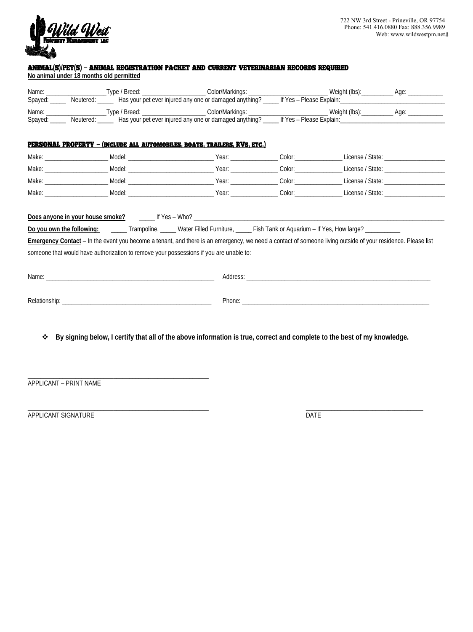

## *ANIMAL***(***S***)/***PET***(***S***) –** *ANIMAL REGISTRATION PACKET AND CURRENT VETERINARIAN RECORDS REQUIRED*

**No animal under 18 months old permitted**

|  | PERSONAL PROPERTY - (INCLUDE ALL AUTOMOBILES, BOATS, TRAILERS, RVS, ETC.)                                                                                                                                                                             |                                                                                                                                                                                                                                |  |
|--|-------------------------------------------------------------------------------------------------------------------------------------------------------------------------------------------------------------------------------------------------------|--------------------------------------------------------------------------------------------------------------------------------------------------------------------------------------------------------------------------------|--|
|  |                                                                                                                                                                                                                                                       |                                                                                                                                                                                                                                |  |
|  |                                                                                                                                                                                                                                                       |                                                                                                                                                                                                                                |  |
|  |                                                                                                                                                                                                                                                       |                                                                                                                                                                                                                                |  |
|  |                                                                                                                                                                                                                                                       |                                                                                                                                                                                                                                |  |
|  | Emergency Contact - In the event you become a tenant, and there is an emergency, we need a contact of someone living outside of your residence. Please list<br>someone that would have authorization to remove your possessions if you are unable to: |                                                                                                                                                                                                                                |  |
|  |                                                                                                                                                                                                                                                       |                                                                                                                                                                                                                                |  |
|  |                                                                                                                                                                                                                                                       | Phone: The contract of the contract of the contract of the contract of the contract of the contract of the contract of the contract of the contract of the contract of the contract of the contract of the contract of the con |  |
|  |                                                                                                                                                                                                                                                       |                                                                                                                                                                                                                                |  |

APPLICANT – PRINT NAME

\_

\_

\_\_\_\_\_\_\_\_\_\_\_\_\_\_\_\_\_\_\_\_\_\_\_\_\_\_\_\_\_\_\_\_\_\_\_\_\_\_\_\_\_\_\_\_\_\_\_\_\_\_\_\_\_\_\_\_

PPLICANT SIGNATURE DATE DATE OF A SERIES AND THE SERIES OF A SERIES OF A SERIES OF A SERIES OF A SERIES OF A S A

 $\Box$